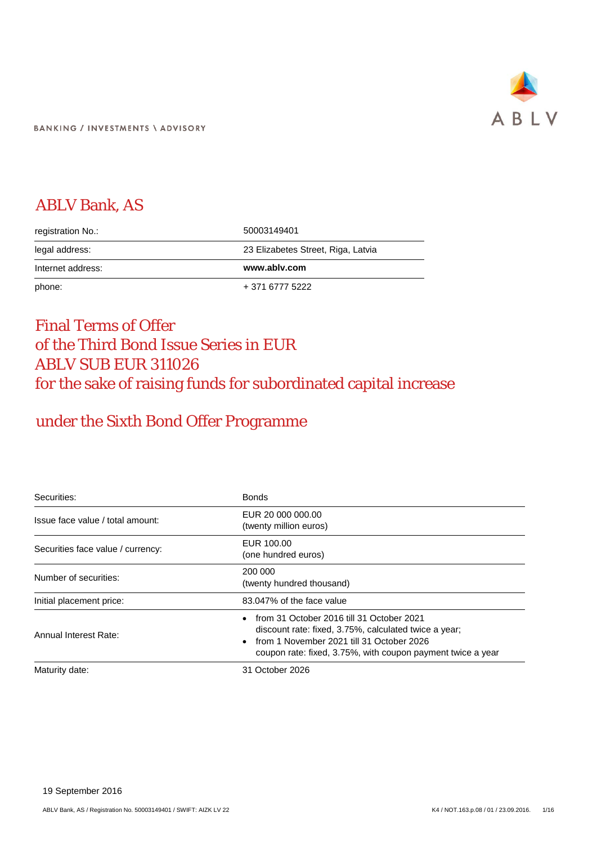

# ABLV Bank, AS

| registration No.: | 50003149401                        |
|-------------------|------------------------------------|
| legal address:    | 23 Elizabetes Street, Riga, Latvia |
| Internet address: | www.ablv.com                       |
| phone:            | + 371 6777 5222                    |

# Final Terms of Offer of the Third Bond Issue Series in EUR ABLV SUB EUR 311026 for the sake of raising funds for subordinated capital increase

# under the Sixth Bond Offer Programme

| Securities:                       | <b>Bonds</b>                                                                                                                                                                                                   |
|-----------------------------------|----------------------------------------------------------------------------------------------------------------------------------------------------------------------------------------------------------------|
| Issue face value / total amount:  | EUR 20 000 000.00<br>(twenty million euros)                                                                                                                                                                    |
| Securities face value / currency: | EUR 100.00<br>(one hundred euros)                                                                                                                                                                              |
| Number of securities:             | 200 000<br>(twenty hundred thousand)                                                                                                                                                                           |
| Initial placement price:          | 83.047% of the face value                                                                                                                                                                                      |
| Annual Interest Rate:             | from 31 October 2016 till 31 October 2021<br>discount rate: fixed, 3.75%, calculated twice a year;<br>from 1 November 2021 till 31 October 2026<br>coupon rate: fixed, 3.75%, with coupon payment twice a year |
| Maturity date:                    | 31 October 2026                                                                                                                                                                                                |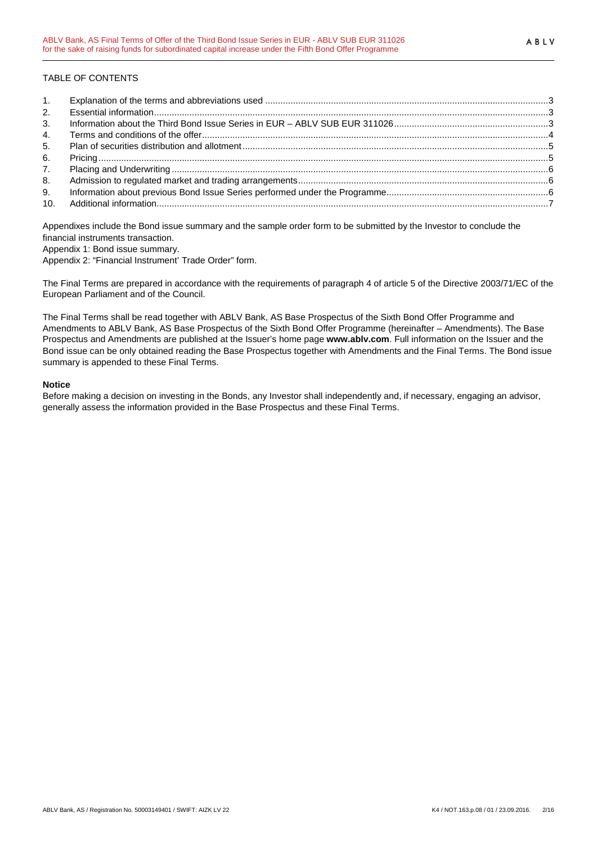## TABLE OF CONTENTS

| 1.             |  |
|----------------|--|
| 2.             |  |
| 3 <sub>1</sub> |  |
| 4.             |  |
| 5.             |  |
| 6.             |  |
| 7 <sub>1</sub> |  |
| 8.             |  |
| 9.             |  |
|                |  |

Appendixes include the Bond issue summary and the sample order form to be submitted by the Investor to conclude the financial instruments transaction.

Appendix 1: Bond issue summary.

Appendix 2: "Financial Instrument' Trade Order" form.

The Final Terms are prepared in accordance with the requirements of paragraph 4 of article 5 of the Directive 2003/71/EC of the European Parliament and of the Council.

The Final Terms shall be read together with ABLV Bank, AS Base Prospectus of the Sixth Bond Offer Programme and Amendments to ABLV Bank, AS Base Prospectus of the Sixth Bond Offer Programme (hereinafter – Amendments). The Base Prospectus and Amendments are published at the Issuer's home page **www.ablv.com**. Full information on the Issuer and the Bond issue can be only obtained reading the Base Prospectus together with Amendments and the Final Terms. The Bond issue summary is appended to these Final Terms.

### **Notice**

Before making a decision on investing in the Bonds, any Investor shall independently and, if necessary, engaging an advisor, generally assess the information provided in the Base Prospectus and these Final Terms.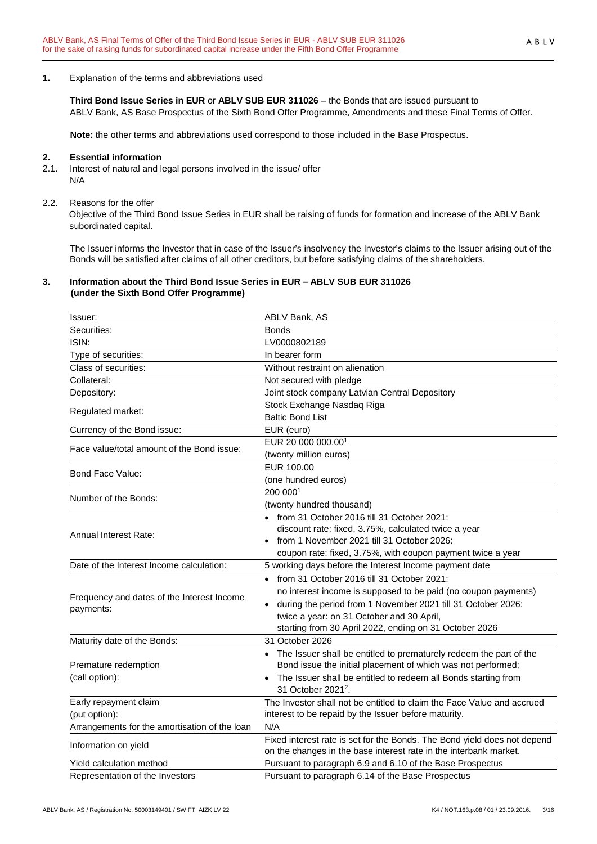### <span id="page-2-0"></span>**1.** Explanation of the terms and abbreviations used

**Third Bond Issue Series in EUR** or **ABLV SUB EUR 311026** – the Bonds that are issued pursuant to ABLV Bank, AS Base Prospectus of the Sixth Bond Offer Programme, Amendments and these Final Terms of Offer.

**Note:** the other terms and abbreviations used correspond to those included in the Base Prospectus.

#### <span id="page-2-1"></span>**2. Essential information**

2.1. Interest of natural and legal persons involved in the issue/ offer N/A

#### 2.2. Reasons for the offer

Objective of the Third Bond Issue Series in EUR shall be raising of funds for formation and increase of the ABLV Bank subordinated capital.

The Issuer informs the Investor that in case of the Issuer's insolvency the Investor's claims to the Issuer arising out of the Bonds will be satisfied after claims of all other creditors, but before satisfying claims of the shareholders.

### <span id="page-2-2"></span>**3. Information about the Third Bond Issue Series in EUR – ABLV SUB EUR 311026 (under the Sixth Bond Offer Programme)**

| Issuer:                                       | ABLV Bank, AS                                                            |
|-----------------------------------------------|--------------------------------------------------------------------------|
| Securities:                                   | <b>Bonds</b>                                                             |
| ISIN:                                         | LV0000802189                                                             |
| Type of securities:                           | In bearer form                                                           |
| Class of securities:                          | Without restraint on alienation                                          |
| Collateral:                                   | Not secured with pledge                                                  |
| Depository:                                   | Joint stock company Latvian Central Depository                           |
|                                               | Stock Exchange Nasdaq Riga                                               |
| Regulated market:                             | <b>Baltic Bond List</b>                                                  |
| Currency of the Bond issue:                   | EUR (euro)                                                               |
| Face value/total amount of the Bond issue:    | EUR 20 000 000.001                                                       |
|                                               | (twenty million euros)                                                   |
| Bond Face Value:                              | EUR 100.00                                                               |
|                                               | (one hundred euros)                                                      |
| Number of the Bonds:                          | 200 0001                                                                 |
|                                               | (twenty hundred thousand)                                                |
|                                               | • from 31 October 2016 till 31 October 2021:                             |
| Annual Interest Rate:                         | discount rate: fixed, 3.75%, calculated twice a year                     |
|                                               | from 1 November 2021 till 31 October 2026:                               |
|                                               | coupon rate: fixed, 3.75%, with coupon payment twice a year              |
| Date of the Interest Income calculation:      | 5 working days before the Interest Income payment date                   |
|                                               | • from 31 October 2016 till 31 October 2021:                             |
| Frequency and dates of the Interest Income    | no interest income is supposed to be paid (no coupon payments)           |
| payments:                                     | • during the period from 1 November 2021 till 31 October 2026:           |
|                                               | twice a year: on 31 October and 30 April,                                |
|                                               | starting from 30 April 2022, ending on 31 October 2026                   |
| Maturity date of the Bonds:                   | 31 October 2026                                                          |
|                                               | • The Issuer shall be entitled to prematurely redeem the part of the     |
| Premature redemption                          | Bond issue the initial placement of which was not performed;             |
| (call option):                                | The Issuer shall be entitled to redeem all Bonds starting from           |
|                                               | 31 October 2021 <sup>2</sup> .                                           |
| Early repayment claim                         | The Investor shall not be entitled to claim the Face Value and accrued   |
| (put option):                                 | interest to be repaid by the Issuer before maturity.                     |
| Arrangements for the amortisation of the loan | N/A                                                                      |
| Information on yield                          | Fixed interest rate is set for the Bonds. The Bond yield does not depend |
|                                               | on the changes in the base interest rate in the interbank market.        |
| Yield calculation method                      | Pursuant to paragraph 6.9 and 6.10 of the Base Prospectus                |
| Representation of the Investors               | Pursuant to paragraph 6.14 of the Base Prospectus                        |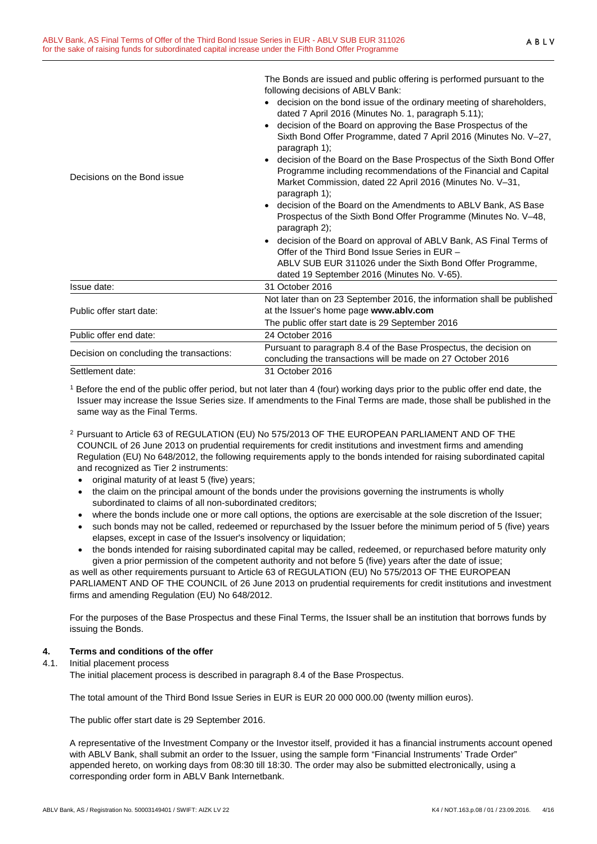|                                          | following decisions of ABLV Bank:<br>decision on the bond issue of the ordinary meeting of shareholders,<br>dated 7 April 2016 (Minutes No. 1, paragraph 5.11);<br>decision of the Board on approving the Base Prospectus of the<br>Sixth Bond Offer Programme, dated 7 April 2016 (Minutes No. V-27, |
|------------------------------------------|-------------------------------------------------------------------------------------------------------------------------------------------------------------------------------------------------------------------------------------------------------------------------------------------------------|
| Decisions on the Bond issue              | paragraph 1);<br>decision of the Board on the Base Prospectus of the Sixth Bond Offer<br>Programme including recommendations of the Financial and Capital<br>Market Commission, dated 22 April 2016 (Minutes No. V-31,<br>paragraph 1);                                                               |
|                                          | decision of the Board on the Amendments to ABLV Bank, AS Base<br>Prospectus of the Sixth Bond Offer Programme (Minutes No. V-48,<br>paragraph $2$ );                                                                                                                                                  |
|                                          | decision of the Board on approval of ABLV Bank, AS Final Terms of<br>Offer of the Third Bond Issue Series in EUR -<br>ABLV SUB EUR 311026 under the Sixth Bond Offer Programme,<br>dated 19 September 2016 (Minutes No. V-65).                                                                        |
| Issue date:                              | 31 October 2016                                                                                                                                                                                                                                                                                       |
| Public offer start date:                 | Not later than on 23 September 2016, the information shall be published<br>at the Issuer's home page www.ablv.com                                                                                                                                                                                     |
| Public offer end date:                   | The public offer start date is 29 September 2016<br>24 October 2016                                                                                                                                                                                                                                   |
| Decision on concluding the transactions: | Pursuant to paragraph 8.4 of the Base Prospectus, the decision on<br>concluding the transactions will be made on 27 October 2016                                                                                                                                                                      |
|                                          |                                                                                                                                                                                                                                                                                                       |

The Bonds are issued and public offering is performed pursuant to the

Settlement date: 31 October 2016

<sup>1</sup> Before the end of the public offer period, but not later than 4 (four) working days prior to the public offer end date, the Issuer may increase the Issue Series size. If amendments to the Final Terms are made, those shall be published in the same way as the Final Terms.

- 2 Pursuant to Article 63 of REGULATION (EU) No 575/2013 OF THE EUROPEAN PARLIAMENT AND OF THE COUNCIL of 26 June 2013 on prudential requirements for credit institutions and investment firms and amending Regulation (EU) No 648/2012, the following requirements apply to the bonds intended for raising subordinated capital and recognized as Tier 2 instruments:
	- original maturity of at least 5 (five) years;
	- the claim on the principal amount of the bonds under the provisions governing the instruments is wholly subordinated to claims of all non-subordinated creditors;
	- where the bonds include one or more call options, the options are exercisable at the sole discretion of the Issuer;
	- such bonds may not be called, redeemed or repurchased by the Issuer before the minimum period of 5 (five) years elapses, except in case of the Issuer's insolvency or liquidation;
	- the bonds intended for raising subordinated capital may be called, redeemed, or repurchased before maturity only given a prior permission of the competent authority and not before 5 (five) years after the date of issue;

as well as other requirements pursuant to Article 63 of REGULATION (EU) No 575/2013 OF THE EUROPEAN PARLIAMENT AND OF THE COUNCIL of 26 June 2013 on prudential requirements for credit institutions and investment firms and amending Regulation (EU) No 648/2012.

For the purposes of the Base Prospectus and these Final Terms, the Issuer shall be an institution that borrows funds by issuing the Bonds.

## <span id="page-3-0"></span>**4. Terms and conditions of the offer**

### 4.1. Initial placement process

The initial placement process is described in paragraph 8.4 of the Base Prospectus.

The total amount of the Third Bond Issue Series in EUR is EUR 20 000 000.00 (twenty million euros).

The public offer start date is 29 September 2016.

A representative of the Investment Company or the Investor itself, provided it has a financial instruments account opened with ABLV Bank, shall submit an order to the Issuer, using the sample form "Financial Instruments' Trade Order" appended hereto, on working days from 08:30 till 18:30. The order may also be submitted electronically, using a corresponding order form in ABLV Bank Internetbank.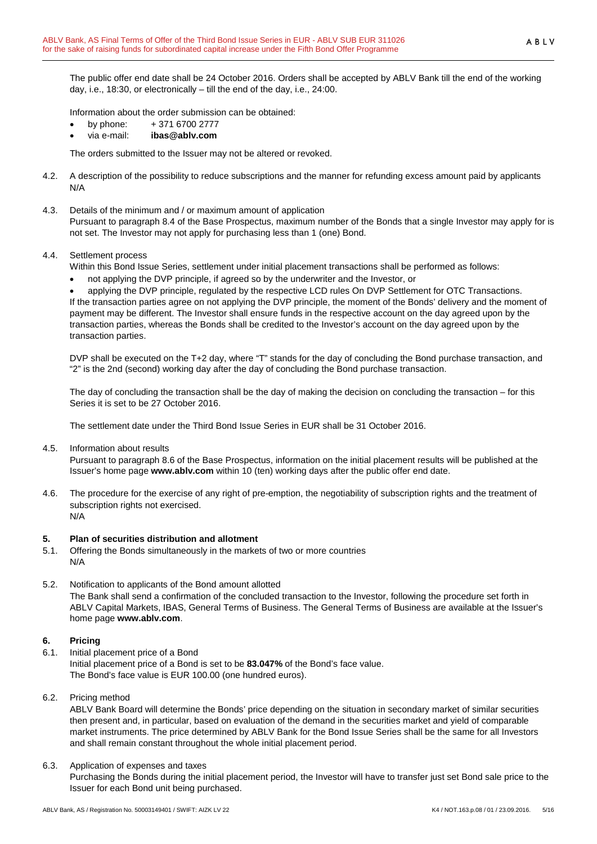The public offer end date shall be 24 October 2016. Orders shall be accepted by ABLV Bank till the end of the working day, i.e., 18:30, or electronically – till the end of the day, i.e., 24:00.

Information about the order submission can be obtained:

- by phone: + 371 6700 2777
- via e-mail: **ibas@ablv.com**

The orders submitted to the Issuer may not be altered or revoked.

- 4.2. A description of the possibility to reduce subscriptions and the manner for refunding excess amount paid by applicants N/A
- 4.3. Details of the minimum and / or maximum amount of application

Pursuant to paragraph 8.4 of the Base Prospectus, maximum number of the Bonds that a single Investor may apply for is not set. The Investor may not apply for purchasing less than 1 (one) Bond.

4.4. Settlement process

Within this Bond Issue Series, settlement under initial placement transactions shall be performed as follows:

• not applying the DVP principle, if agreed so by the underwriter and the Investor, or

• applying the DVP principle, regulated by the respective LCD rules On DVP Settlement for OTC Transactions. If the transaction parties agree on not applying the DVP principle, the moment of the Bonds' delivery and the moment of payment may be different. The Investor shall ensure funds in the respective account on the day agreed upon by the transaction parties, whereas the Bonds shall be credited to the Investor's account on the day agreed upon by the transaction parties.

DVP shall be executed on the T+2 day, where "T" stands for the day of concluding the Bond purchase transaction, and "2" is the 2nd (second) working day after the day of concluding the Bond purchase transaction.

The day of concluding the transaction shall be the day of making the decision on concluding the transaction – for this Series it is set to be 27 October 2016.

The settlement date under the Third Bond Issue Series in EUR shall be 31 October 2016.

4.5. Information about results

Pursuant to paragraph 8.6 of the Base Prospectus, information on the initial placement results will be published at the Issuer's home page **www.ablv.com** within 10 (ten) working days after the public offer end date.

4.6. The procedure for the exercise of any right of pre-emption, the negotiability of subscription rights and the treatment of subscription rights not exercised. N/A

## <span id="page-4-0"></span>**5. Plan of securities distribution and allotment**

- 5.1. Offering the Bonds simultaneously in the markets of two or more countries N/A
- 5.2. Notification to applicants of the Bond amount allotted The Bank shall send a confirmation of the concluded transaction to the Investor, following the procedure set forth in ABLV Capital Markets, IBAS, General Terms of Business. The General Terms of Business are available at the Issuer's home page **[www.ablv.com](http://www.ablv.com/)**.

### <span id="page-4-1"></span>**6. Pricing**

- 6.1. Initial placement price of a Bond Initial placement price of a Bond is set to be **83.047%** of the Bond's face value. The Bond's face value is EUR 100.00 (one hundred euros).
- 6.2. Pricing method

ABLV Bank Board will determine the Bonds' price depending on the situation in secondary market of similar securities then present and, in particular, based on evaluation of the demand in the securities market and yield of comparable market instruments. The price determined by ABLV Bank for the Bond Issue Series shall be the same for all Investors and shall remain constant throughout the whole initial placement period.

6.3. Application of expenses and taxes

Purchasing the Bonds during the initial placement period, the Investor will have to transfer just set Bond sale price to the Issuer for each Bond unit being purchased.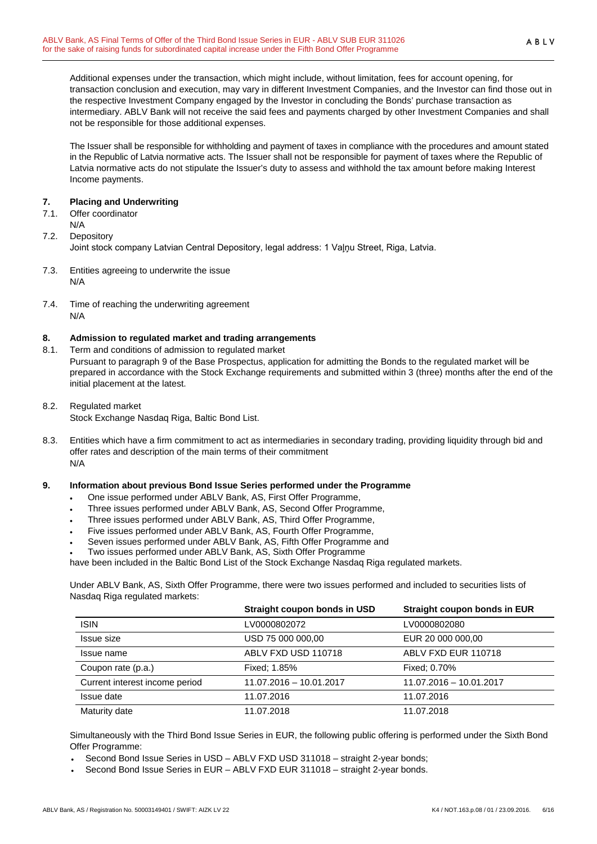Additional expenses under the transaction, which might include, without limitation, fees for account opening, for transaction conclusion and execution, may vary in different Investment Companies, and the Investor can find those out in the respective Investment Company engaged by the Investor in concluding the Bonds' purchase transaction as intermediary. ABLV Bank will not receive the said fees and payments charged by other Investment Companies and shall not be responsible for those additional expenses.

The Issuer shall be responsible for withholding and payment of taxes in compliance with the procedures and amount stated in the Republic of Latvia normative acts. The Issuer shall not be responsible for payment of taxes where the Republic of Latvia normative acts do not stipulate the Issuer's duty to assess and withhold the tax amount before making Interest Income payments.

## <span id="page-5-0"></span>**7. Placing and Underwriting**

- 7.1. Offer coordinator
- N/A
- 7.2. Depository

Joint stock company Latvian Central Depository, legal address: 1 Vaļņu Street, Riga, Latvia.

- 7.3. Entities agreeing to underwrite the issue N/A
- 7.4. Time of reaching the underwriting agreement N/A

## <span id="page-5-1"></span>**8. Admission to regulated market and trading arrangements**

8.1. Term and conditions of admission to regulated market

Pursuant to paragraph 9 of the Base Prospectus, application for admitting the Bonds to the regulated market will be prepared in accordance with the Stock Exchange requirements and submitted within 3 (three) months after the end of the initial placement at the latest.

8.2. Regulated market

Stock Exchange Nasdaq Riga, Baltic Bond List.

8.3. Entities which have a firm commitment to act as intermediaries in secondary trading, providing liquidity through bid and offer rates and description of the main terms of their commitment N/A

## <span id="page-5-2"></span>**9. Information about previous Bond Issue Series performed under the Programme**

- One issue performed under ABLV Bank, AS, First Offer Programme,
- Three issues performed under ABLV Bank, AS, Second Offer Programme,
- Three issues performed under ABLV Bank, AS, Third Offer Programme,
- Five issues performed under ABLV Bank, AS, Fourth Offer Programme,
- Seven issues performed under ABLV Bank, AS, Fifth Offer Programme and
- Two issues performed under ABLV Bank, AS, Sixth Offer Programme

have been included in the Baltic Bond List of the Stock Exchange Nasdaq Riga regulated markets.

Under ABLV Bank, AS, Sixth Offer Programme, there were two issues performed and included to securities lists of Nasdaq Riga regulated markets:

|                                | Straight coupon bonds in USD | Straight coupon bonds in EUR |
|--------------------------------|------------------------------|------------------------------|
| <b>ISIN</b>                    | LV0000802072                 | LV0000802080                 |
| Issue size                     | USD 75 000 000,00            | EUR 20 000 000,00            |
| Issue name                     | ABLV FXD USD 110718          | ABLV FXD EUR 110718          |
| Coupon rate (p.a.)             | Fixed: 1.85%                 | Fixed: 0.70%                 |
| Current interest income period | 11.07.2016 - 10.01.2017      | 11.07.2016 - 10.01.2017      |
| Issue date                     | 11.07.2016                   | 11.07.2016                   |
| Maturity date                  | 11.07.2018                   | 11.07.2018                   |

Simultaneously with the Third Bond Issue Series in EUR, the following public offering is performed under the Sixth Bond Offer Programme:

- Second Bond Issue Series in USD ABLV FXD USD 311018 straight 2-year bonds;
- Second Bond Issue Series in EUR ABLV FXD EUR 311018 straight 2-year bonds.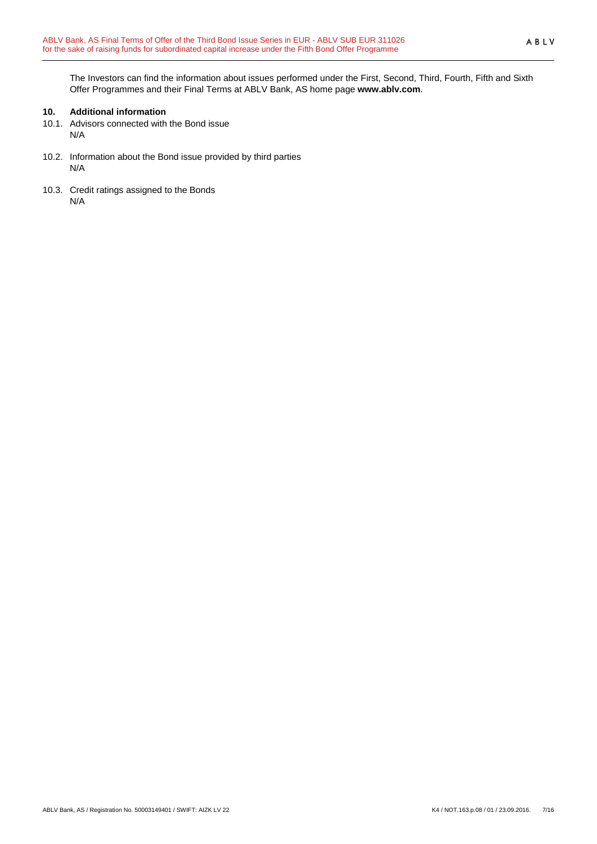The Investors can find the information about issues performed under the First, Second, Third, Fourth, Fifth and Sixth Offer Programmes and their Final Terms at ABLV Bank, AS home page **[www.ablv.com](http://www.ablv.com/)**.

## <span id="page-6-0"></span>**10. Additional information**

- 10.1. Advisors connected with the Bond issue N/A
- 10.2. Information about the Bond issue provided by third parties N/A
- 10.3. Credit ratings assigned to the Bonds N/A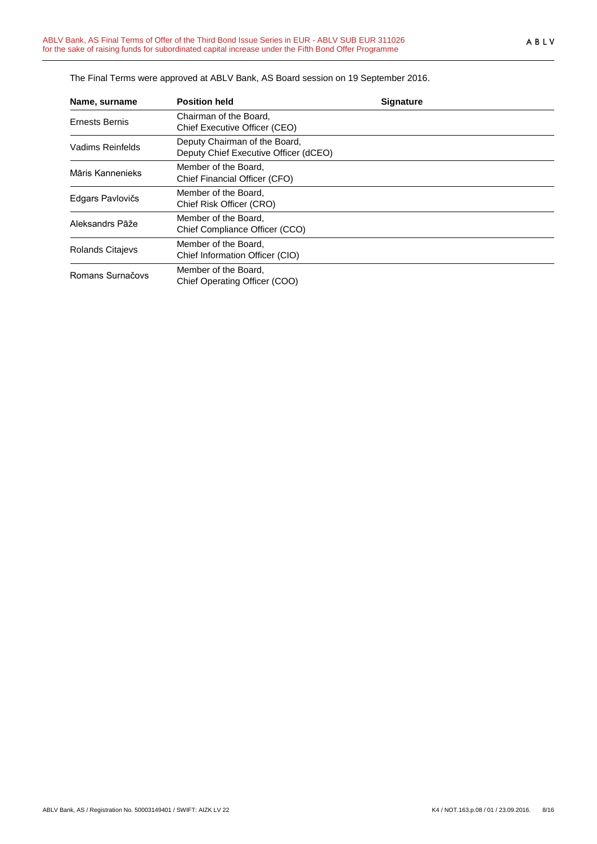| Name, surname    | <b>Position held</b>                                                   | <b>Signature</b> |  |
|------------------|------------------------------------------------------------------------|------------------|--|
| Ernests Bernis   | Chairman of the Board.<br>Chief Executive Officer (CEO)                |                  |  |
| Vadims Reinfelds | Deputy Chairman of the Board,<br>Deputy Chief Executive Officer (dCEO) |                  |  |
| Māris Kannenieks | Member of the Board,<br>Chief Financial Officer (CFO)                  |                  |  |
| Edgars Pavlovičs | Member of the Board,<br>Chief Risk Officer (CRO)                       |                  |  |
| Aleksandrs Pāže  | Member of the Board,<br>Chief Compliance Officer (CCO)                 |                  |  |
| Rolands Citajevs | Member of the Board,<br>Chief Information Officer (CIO)                |                  |  |
| Romans Surnačovs | Member of the Board,<br>Chief Operating Officer (COO)                  |                  |  |

The Final Terms were approved at ABLV Bank, AS Board session on 19 September 2016.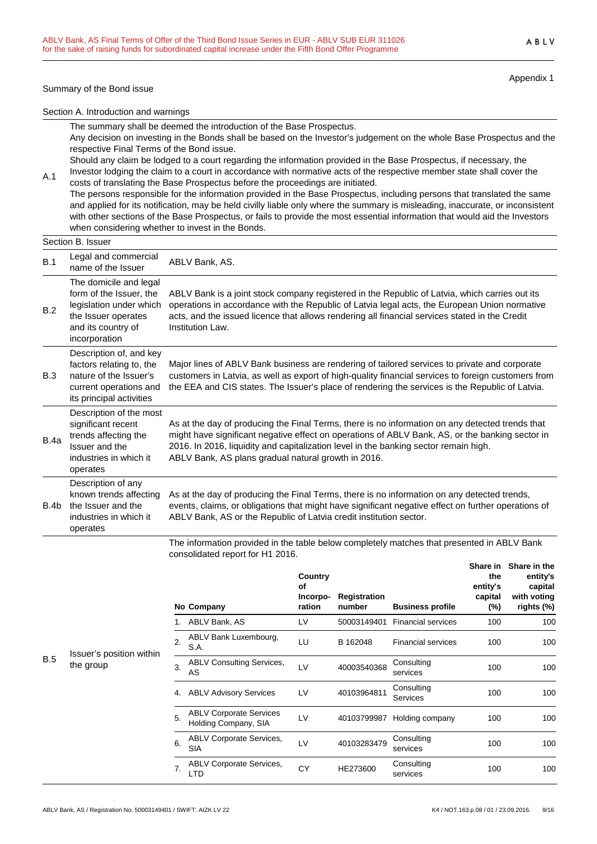#### Summary of the Bond issue

A.1

Appendix 1

Section A. Introduction and warnings

The summary shall be deemed the introduction of the Base Prospectus.

Any decision on investing in the Bonds shall be based on the Investor's judgement on the whole Base Prospectus and the respective Final Terms of the Bond issue.

Should any claim be lodged to a court regarding the information provided in the Base Prospectus, if necessary, the Investor lodging the claim to a court in accordance with normative acts of the respective member state shall cover the

costs of translating the Base Prospectus before the proceedings are initiated. The persons responsible for the information provided in the Base Prospectus, including persons that translated the same and applied for its notification, may be held civilly liable only where the summary is misleading, inaccurate, or inconsistent with other sections of the Base Prospectus, or fails to provide the most essential information that would aid the Investors when considering whether to invest in the Bonds.

|      | Section B. Issuer                                                                                                                          |                                                                                                                                                                                                                                                                                                                                                   |
|------|--------------------------------------------------------------------------------------------------------------------------------------------|---------------------------------------------------------------------------------------------------------------------------------------------------------------------------------------------------------------------------------------------------------------------------------------------------------------------------------------------------|
| B.1  | Legal and commercial<br>name of the Issuer                                                                                                 | ABLV Bank, AS.                                                                                                                                                                                                                                                                                                                                    |
| B.2  | The domicile and legal<br>form of the Issuer, the<br>legislation under which<br>the Issuer operates<br>and its country of<br>incorporation | ABLV Bank is a joint stock company registered in the Republic of Latvia, which carries out its<br>operations in accordance with the Republic of Latvia legal acts, the European Union normative<br>acts, and the issued licence that allows rendering all financial services stated in the Credit<br>Institution Law.                             |
| B.3  | Description of, and key<br>factors relating to, the<br>nature of the Issuer's<br>current operations and<br>its principal activities        | Major lines of ABLV Bank business are rendering of tailored services to private and corporate<br>customers in Latvia, as well as export of high-quality financial services to foreign customers from<br>the EEA and CIS states. The Issuer's place of rendering the services is the Republic of Latvia.                                           |
| B.4a | Description of the most<br>significant recent<br>trends affecting the<br>Issuer and the<br>industries in which it<br>operates              | As at the day of producing the Final Terms, there is no information on any detected trends that<br>might have significant negative effect on operations of ABLV Bank, AS, or the banking sector in<br>2016. In 2016, liquidity and capitalization level in the banking sector remain high.<br>ABLV Bank, AS plans gradual natural growth in 2016. |
| B.4b | Description of any<br>known trends affecting<br>the Issuer and the<br>industries in which it<br>operates                                   | As at the day of producing the Final Terms, there is no information on any detected trends,<br>events, claims, or obligations that might have significant negative effect on further operations of<br>ABLV Bank, AS or the Republic of Latvia credit institution sector.                                                                          |

The information provided in the table below completely matches that presented in ABLV Bank consolidated report for H1 2016.

|     |                                       |    | No Company                                             | Country<br>оf<br>Incorpo-<br>ration | Registration<br>number | <b>Business profile</b>   | Share in<br>the<br>entity's<br>capital<br>(%) | Share in the<br>entity's<br>capital<br>with voting<br>rights (%) |
|-----|---------------------------------------|----|--------------------------------------------------------|-------------------------------------|------------------------|---------------------------|-----------------------------------------------|------------------------------------------------------------------|
|     |                                       |    | ABLV Bank, AS                                          | LV                                  | 50003149401            | <b>Financial services</b> | 100                                           | 100                                                              |
| B.5 | Issuer's position within<br>the group | 2. | ABLV Bank Luxembourg,<br>S.A.                          | LU                                  | B 162048               | <b>Financial services</b> | 100                                           | 100                                                              |
|     |                                       | 3. | <b>ABLV Consulting Services,</b><br>AS                 | LV                                  | 40003540368            | Consulting<br>services    | 100                                           | 100                                                              |
|     |                                       | 4. | <b>ABLV Advisory Services</b>                          | LV                                  | 40103964811            | Consulting<br>Services    | 100                                           | 100                                                              |
|     |                                       | 5. | <b>ABLV Corporate Services</b><br>Holding Company, SIA | LV                                  | 40103799987            | Holding company           | 100                                           | 100                                                              |
|     |                                       | 6. | <b>ABLV Corporate Services,</b><br><b>SIA</b>          | LV                                  | 40103283479            | Consulting<br>services    | 100                                           | 100                                                              |
|     |                                       | 7. | <b>ABLV Corporate Services,</b><br>LTD                 | CY                                  | HE273600               | Consulting<br>services    | 100                                           | 100                                                              |

ABLV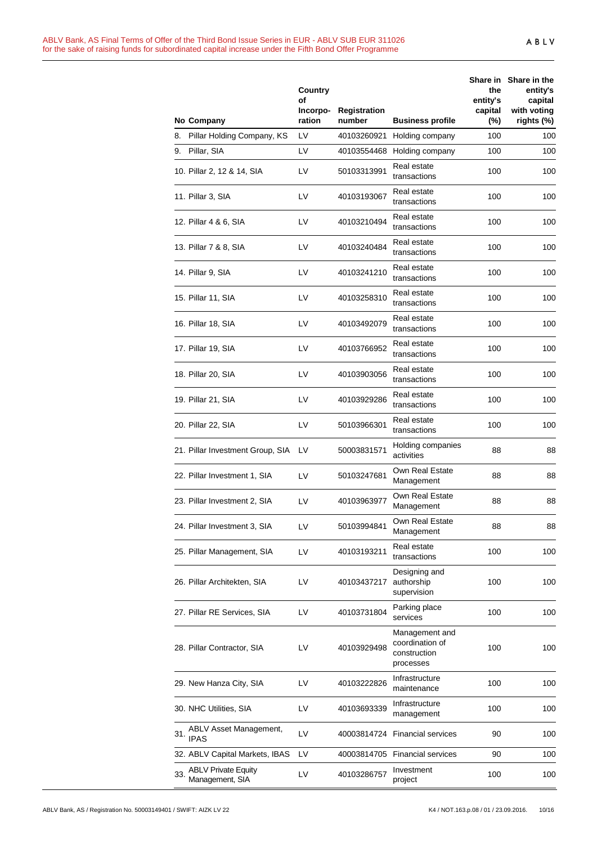|     | No Company                                    | Country<br>οf<br>Incorpo-<br>ration | Registration<br>number | <b>Business profile</b>                                        | the<br>entity's<br>capital<br>$(\%)$ | Share in Share in the<br>entity's<br>capital<br>with voting<br>rights (%) |
|-----|-----------------------------------------------|-------------------------------------|------------------------|----------------------------------------------------------------|--------------------------------------|---------------------------------------------------------------------------|
| 8.  | Pillar Holding Company, KS                    | LV                                  | 40103260921            | Holding company                                                | 100                                  | 100                                                                       |
| 9.  | Pillar, SIA                                   | LV                                  | 40103554468            | Holding company                                                | 100                                  | 100                                                                       |
|     | 10. Pillar 2, 12 & 14, SIA                    | LV                                  | 50103313991            | Real estate<br>transactions                                    | 100                                  | 100                                                                       |
|     | 11. Pillar 3, SIA                             | LV                                  | 40103193067            | Real estate<br>transactions                                    | 100                                  | 100                                                                       |
|     | 12. Pillar 4 & 6, SIA                         | LV                                  | 40103210494            | Real estate<br>transactions                                    | 100                                  | 100                                                                       |
|     | 13. Pillar 7 & 8, SIA                         | LV                                  | 40103240484            | Real estate<br>transactions                                    | 100                                  | 100                                                                       |
|     | 14. Pillar 9, SIA                             | LV                                  | 40103241210            | Real estate<br>transactions                                    | 100                                  | 100                                                                       |
|     | 15. Pillar 11, SIA                            | LV                                  | 40103258310            | Real estate<br>transactions                                    | 100                                  | 100                                                                       |
|     | 16. Pillar 18, SIA                            | LV                                  | 40103492079            | Real estate<br>transactions                                    | 100                                  | 100                                                                       |
|     | 17. Pillar 19, SIA                            | LV                                  | 40103766952            | Real estate<br>transactions                                    | 100                                  | 100                                                                       |
|     | 18. Pillar 20, SIA                            | LV                                  | 40103903056            | Real estate<br>transactions                                    | 100                                  | 100                                                                       |
|     | 19. Pillar 21, SIA                            | LV                                  | 40103929286            | Real estate<br>transactions                                    | 100                                  | 100                                                                       |
|     | 20. Pillar 22, SIA                            | LV                                  | 50103966301            | Real estate<br>transactions                                    | 100                                  | 100                                                                       |
|     | 21. Pillar Investment Group, SIA              | LV                                  | 50003831571            | Holding companies<br>activities                                | 88                                   | 88                                                                        |
|     | 22. Pillar Investment 1, SIA                  | LV                                  | 50103247681            | Own Real Estate<br>Management                                  | 88                                   | 88                                                                        |
|     | 23. Pillar Investment 2, SIA                  | LV                                  | 40103963977            | Own Real Estate<br>Management                                  | 88                                   | 88                                                                        |
|     | 24. Pillar Investment 3, SIA                  | LV                                  | 50103994841            | Own Real Estate<br>Management                                  | 88                                   | 88                                                                        |
|     | 25. Pillar Management, SIA                    | LV                                  | 40103193211            | Real estate<br>transactions                                    | 100                                  | 100                                                                       |
|     | 26. Pillar Architekten, SIA                   | LV                                  | 40103437217            | Designing and<br>authorship<br>supervision                     | 100                                  | 100                                                                       |
|     | 27. Pillar RE Services, SIA                   | LV                                  | 40103731804            | Parking place<br>services                                      | 100                                  | 100                                                                       |
|     | 28. Pillar Contractor, SIA                    | LV                                  | 40103929498            | Management and<br>coordination of<br>construction<br>processes | 100                                  | 100                                                                       |
|     | 29. New Hanza City, SIA                       | LV                                  | 40103222826            | Infrastructure<br>maintenance                                  | 100                                  | 100                                                                       |
|     | 30. NHC Utilities, SIA                        | LV                                  | 40103693339            | Infrastructure<br>management                                   | 100                                  | 100                                                                       |
| 31. | ABLV Asset Management,<br><b>IPAS</b>         | LV                                  | 40003814724            | <b>Financial services</b>                                      | 90                                   | 100                                                                       |
|     | 32. ABLV Capital Markets, IBAS                | LV                                  |                        | 40003814705 Financial services                                 | 90                                   | 100                                                                       |
| 33. | <b>ABLV Private Equity</b><br>Management, SIA | LV                                  | 40103286757            | Investment<br>project                                          | 100                                  | 100                                                                       |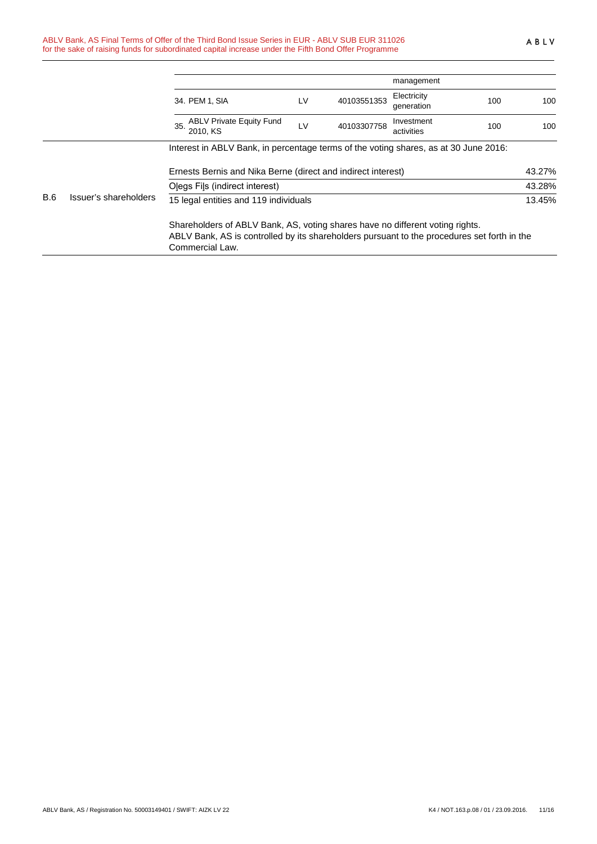|            |                       |                                                                                                                                                                                                 |    |             | management                |     |        |
|------------|-----------------------|-------------------------------------------------------------------------------------------------------------------------------------------------------------------------------------------------|----|-------------|---------------------------|-----|--------|
|            |                       | 34. PEM 1, SIA                                                                                                                                                                                  | LV | 40103551353 | Electricity<br>generation | 100 | 100    |
|            |                       | 35. ABLV Private Equity Fund<br>2010. KS                                                                                                                                                        | LV | 40103307758 | Investment<br>activities  | 100 | 100    |
|            |                       | Interest in ABLV Bank, in percentage terms of the voting shares, as at 30 June 2016:                                                                                                            |    |             |                           |     |        |
|            |                       | Ernests Bernis and Nika Berne (direct and indirect interest)                                                                                                                                    |    |             |                           |     | 43.27% |
|            |                       | Olegs Fils (indirect interest)                                                                                                                                                                  |    |             |                           |     | 43.28% |
| <b>B.6</b> | Issuer's shareholders | 15 legal entities and 119 individuals                                                                                                                                                           |    |             |                           |     | 13.45% |
|            |                       | Shareholders of ABLV Bank, AS, voting shares have no different voting rights.<br>ABLV Bank, AS is controlled by its shareholders pursuant to the procedures set forth in the<br>Commercial Law. |    |             |                           |     |        |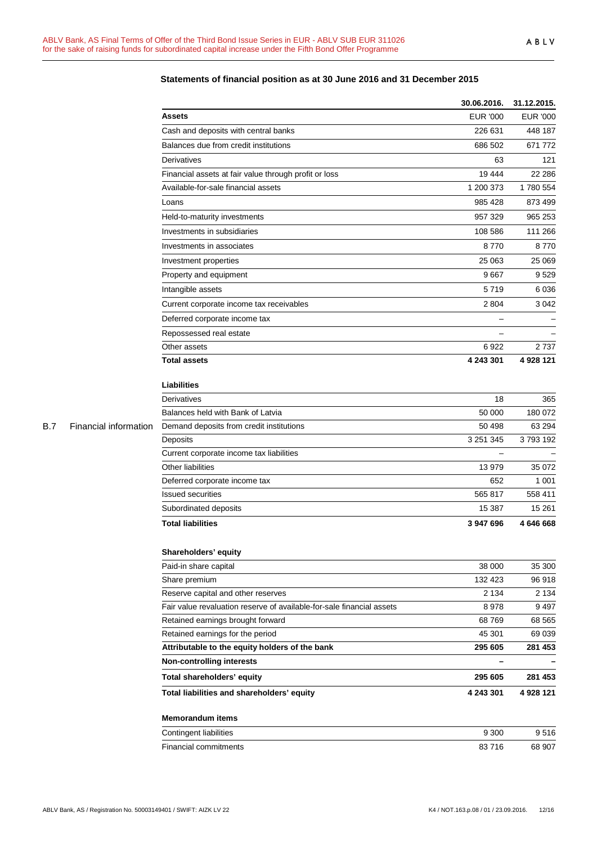|            |                       |                                                                       | 30.06.2016.       | 31.12.2015.     |
|------------|-----------------------|-----------------------------------------------------------------------|-------------------|-----------------|
|            |                       | <b>Assets</b>                                                         | <b>EUR '000</b>   | <b>EUR '000</b> |
|            |                       | Cash and deposits with central banks                                  | 226 631           | 448 187         |
|            |                       | Balances due from credit institutions                                 | 686 502           | 671 772         |
|            |                       | Derivatives                                                           | 63                | 121             |
|            |                       | Financial assets at fair value through profit or loss                 | 19 444            | 22 2 86         |
|            |                       | Available-for-sale financial assets                                   | 1 200 373         | 1780 554        |
|            |                       | Loans                                                                 | 985 428           | 873 499         |
|            |                       | Held-to-maturity investments                                          | 957 329           | 965 253         |
|            |                       | Investments in subsidiaries                                           | 108 586           | 111 266         |
|            |                       | Investments in associates                                             | 8770              | 8770            |
|            |                       | Investment properties                                                 | 25 063            | 25 069          |
|            |                       | Property and equipment                                                | 9667              | 9529            |
|            |                       | Intangible assets                                                     | 5719              | 6036            |
|            |                       | Current corporate income tax receivables                              | 2 8 0 4           | 3 0 4 2         |
|            |                       | Deferred corporate income tax                                         |                   |                 |
|            |                       |                                                                       |                   |                 |
|            |                       | Repossessed real estate<br>Other assets                               | 6922              | 2737            |
|            |                       | <b>Total assets</b>                                                   | 4 243 301         | 4 928 121       |
|            |                       |                                                                       |                   |                 |
|            |                       | <b>Liabilities</b>                                                    |                   |                 |
|            |                       | Derivatives                                                           | 18                | 365             |
|            |                       | Balances held with Bank of Latvia                                     | 50 000            | 180 072         |
| <b>B.7</b> | Financial information | Demand deposits from credit institutions                              | 50 498            | 63 294          |
|            |                       | Deposits                                                              | 3 251 345         | 3793192         |
|            |                       | Current corporate income tax liabilities                              | $\qquad \qquad -$ |                 |
|            |                       | Other liabilities                                                     | 13 979            | 35 072          |
|            |                       | Deferred corporate income tax                                         | 652               | 1 0 0 1         |
|            |                       | <b>Issued securities</b>                                              | 565 817           | 558 411         |
|            |                       | Subordinated deposits                                                 | 15 387            | 15 261          |
|            |                       | <b>Total liabilities</b>                                              | 3 947 696         | 4646668         |
|            |                       | Shareholders' equity                                                  |                   |                 |
|            |                       | Paid-in share capital                                                 | 38 000            | 35 300          |
|            |                       | Share premium                                                         | 132 423           | 96 918          |
|            |                       | Reserve capital and other reserves                                    | 2 1 3 4           | 2 1 3 4         |
|            |                       | Fair value revaluation reserve of available-for-sale financial assets | 8978              | 9497            |
|            |                       | Retained earnings brought forward                                     | 68769             | 68 565          |
|            |                       | Retained earnings for the period                                      | 45 301            | 69 039          |
|            |                       | Attributable to the equity holders of the bank                        | 295 605           | 281 453         |
|            |                       | <b>Non-controlling interests</b>                                      |                   |                 |
|            |                       | Total shareholders' equity                                            | 295 605           | 281 453         |
|            |                       | Total liabilities and shareholders' equity                            | 4 243 301         | 4 928 121       |
|            |                       | <b>Memorandum items</b>                                               |                   |                 |
|            |                       | Contingent liabilities                                                | 9 3 0 0           | 9516            |
|            |                       | Financial commitments                                                 | 83716             | 68 907          |
|            |                       |                                                                       |                   |                 |

## **Statements of financial position as at 30 June 2016 and 31 December 2015**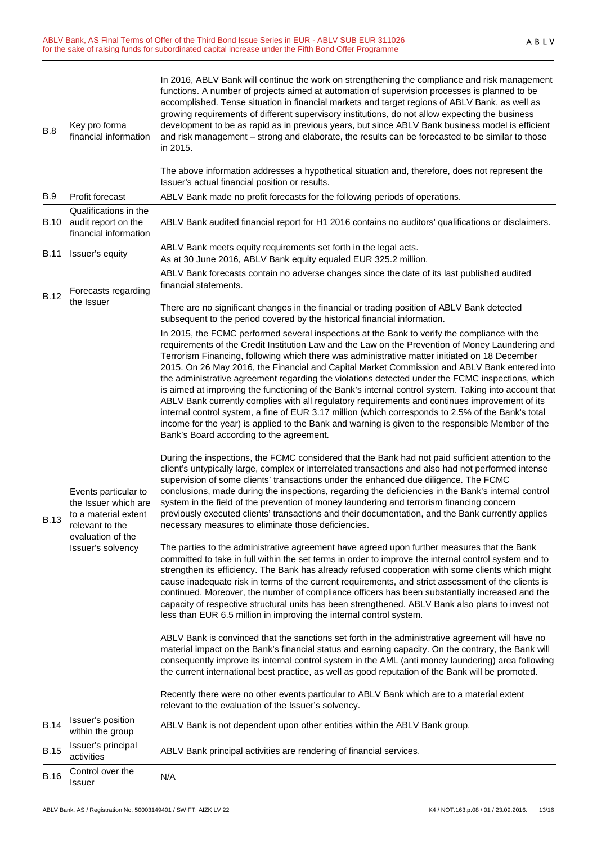| B.8         | Key pro forma<br>financial information                                                                                            | In 2016, ABLV Bank will continue the work on strengthening the compliance and risk management<br>functions. A number of projects aimed at automation of supervision processes is planned to be<br>accomplished. Tense situation in financial markets and target regions of ABLV Bank, as well as<br>growing requirements of different supervisory institutions, do not allow expecting the business<br>development to be as rapid as in previous years, but since ABLV Bank business model is efficient<br>and risk management - strong and elaborate, the results can be forecasted to be similar to those<br>in 2015.<br>The above information addresses a hypothetical situation and, therefore, does not represent the                                                                                                                                                                                                                                               |
|-------------|-----------------------------------------------------------------------------------------------------------------------------------|--------------------------------------------------------------------------------------------------------------------------------------------------------------------------------------------------------------------------------------------------------------------------------------------------------------------------------------------------------------------------------------------------------------------------------------------------------------------------------------------------------------------------------------------------------------------------------------------------------------------------------------------------------------------------------------------------------------------------------------------------------------------------------------------------------------------------------------------------------------------------------------------------------------------------------------------------------------------------|
| <b>B.9</b>  | Profit forecast                                                                                                                   | Issuer's actual financial position or results.<br>ABLV Bank made no profit forecasts for the following periods of operations.                                                                                                                                                                                                                                                                                                                                                                                                                                                                                                                                                                                                                                                                                                                                                                                                                                            |
| B.10        | Qualifications in the<br>audit report on the<br>financial information                                                             | ABLV Bank audited financial report for H1 2016 contains no auditors' qualifications or disclaimers.                                                                                                                                                                                                                                                                                                                                                                                                                                                                                                                                                                                                                                                                                                                                                                                                                                                                      |
| <b>B.11</b> | Issuer's equity                                                                                                                   | ABLV Bank meets equity requirements set forth in the legal acts.<br>As at 30 June 2016, ABLV Bank equity equaled EUR 325.2 million.                                                                                                                                                                                                                                                                                                                                                                                                                                                                                                                                                                                                                                                                                                                                                                                                                                      |
| <b>B.12</b> | Forecasts regarding<br>the Issuer                                                                                                 | ABLV Bank forecasts contain no adverse changes since the date of its last published audited<br>financial statements.<br>There are no significant changes in the financial or trading position of ABLV Bank detected<br>subsequent to the period covered by the historical financial information.                                                                                                                                                                                                                                                                                                                                                                                                                                                                                                                                                                                                                                                                         |
| <b>B.13</b> | Events particular to<br>the Issuer which are<br>to a material extent<br>relevant to the<br>evaluation of the<br>Issuer's solvency | In 2015, the FCMC performed several inspections at the Bank to verify the compliance with the<br>requirements of the Credit Institution Law and the Law on the Prevention of Money Laundering and<br>Terrorism Financing, following which there was administrative matter initiated on 18 December<br>2015. On 26 May 2016, the Financial and Capital Market Commission and ABLV Bank entered into<br>the administrative agreement regarding the violations detected under the FCMC inspections, which<br>is aimed at improving the functioning of the Bank's internal control system. Taking into account that<br>ABLV Bank currently complies with all regulatory requirements and continues improvement of its<br>internal control system, a fine of EUR 3.17 million (which corresponds to 2.5% of the Bank's total<br>income for the year) is applied to the Bank and warning is given to the responsible Member of the<br>Bank's Board according to the agreement. |
|             |                                                                                                                                   | During the inspections, the FCMC considered that the Bank had not paid sufficient attention to the<br>client's untypically large, complex or interrelated transactions and also had not performed intense<br>supervision of some clients' transactions under the enhanced due diligence. The FCMC<br>conclusions, made during the inspections, regarding the deficiencies in the Bank's internal control<br>system in the field of the prevention of money laundering and terrorism financing concern<br>previously executed clients' transactions and their documentation, and the Bank currently applies<br>necessary measures to eliminate those deficiencies.                                                                                                                                                                                                                                                                                                        |
|             |                                                                                                                                   | The parties to the administrative agreement have agreed upon further measures that the Bank<br>committed to take in full within the set terms in order to improve the internal control system and to<br>strengthen its efficiency. The Bank has already refused cooperation with some clients which might<br>cause inadequate risk in terms of the current requirements, and strict assessment of the clients is<br>continued. Moreover, the number of compliance officers has been substantially increased and the<br>capacity of respective structural units has been strengthened. ABLV Bank also plans to invest not<br>less than EUR 6.5 million in improving the internal control system.                                                                                                                                                                                                                                                                          |
|             |                                                                                                                                   | ABLV Bank is convinced that the sanctions set forth in the administrative agreement will have no<br>material impact on the Bank's financial status and earning capacity. On the contrary, the Bank will<br>consequently improve its internal control system in the AML (anti money laundering) area following<br>the current international best practice, as well as good reputation of the Bank will be promoted.                                                                                                                                                                                                                                                                                                                                                                                                                                                                                                                                                       |
|             |                                                                                                                                   | Recently there were no other events particular to ABLV Bank which are to a material extent<br>relevant to the evaluation of the Issuer's solvency.                                                                                                                                                                                                                                                                                                                                                                                                                                                                                                                                                                                                                                                                                                                                                                                                                       |
| <b>B.14</b> | Issuer's position<br>within the group                                                                                             | ABLV Bank is not dependent upon other entities within the ABLV Bank group.                                                                                                                                                                                                                                                                                                                                                                                                                                                                                                                                                                                                                                                                                                                                                                                                                                                                                               |
| <b>B.15</b> | Issuer's principal<br>activities                                                                                                  | ABLV Bank principal activities are rendering of financial services.                                                                                                                                                                                                                                                                                                                                                                                                                                                                                                                                                                                                                                                                                                                                                                                                                                                                                                      |
| <b>B.16</b> | Control over the<br><b>Issuer</b>                                                                                                 | N/A                                                                                                                                                                                                                                                                                                                                                                                                                                                                                                                                                                                                                                                                                                                                                                                                                                                                                                                                                                      |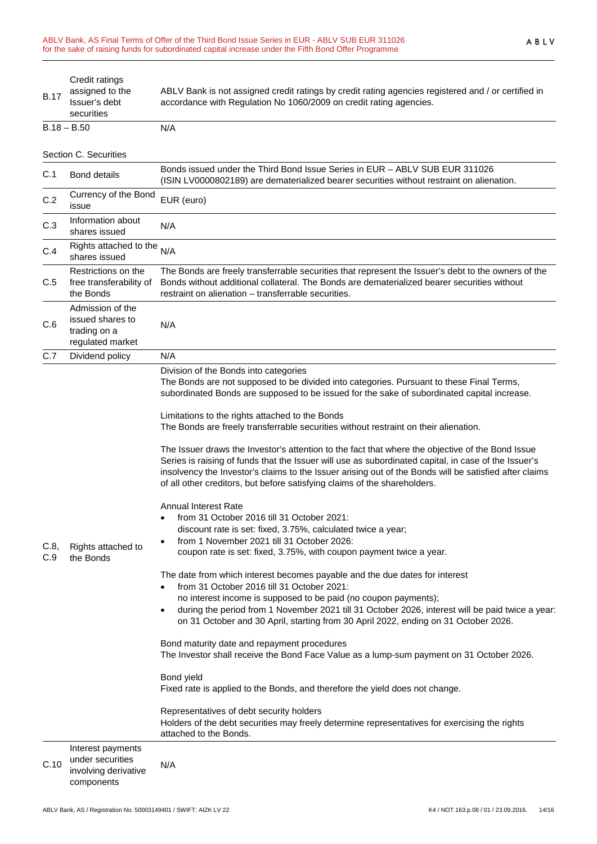| <b>B.17</b> | Credit ratings<br>assigned to the<br>Issuer's debt<br>securities            | ABLV Bank is not assigned credit ratings by credit rating agencies registered and / or certified in<br>accordance with Regulation No 1060/2009 on credit rating agencies.                                                                                                                                                                                                                                                                                                                                                                                                                                                                                                                                                                                                                                                                                                                                                                                                                                                                                                                                                                                                                                                                                                                                                                                                                                                                                                                                                                                                                                                                                                                                                                                                                                                                                   |
|-------------|-----------------------------------------------------------------------------|-------------------------------------------------------------------------------------------------------------------------------------------------------------------------------------------------------------------------------------------------------------------------------------------------------------------------------------------------------------------------------------------------------------------------------------------------------------------------------------------------------------------------------------------------------------------------------------------------------------------------------------------------------------------------------------------------------------------------------------------------------------------------------------------------------------------------------------------------------------------------------------------------------------------------------------------------------------------------------------------------------------------------------------------------------------------------------------------------------------------------------------------------------------------------------------------------------------------------------------------------------------------------------------------------------------------------------------------------------------------------------------------------------------------------------------------------------------------------------------------------------------------------------------------------------------------------------------------------------------------------------------------------------------------------------------------------------------------------------------------------------------------------------------------------------------------------------------------------------------|
|             | $B.18 - B.50$                                                               | N/A                                                                                                                                                                                                                                                                                                                                                                                                                                                                                                                                                                                                                                                                                                                                                                                                                                                                                                                                                                                                                                                                                                                                                                                                                                                                                                                                                                                                                                                                                                                                                                                                                                                                                                                                                                                                                                                         |
|             | Section C. Securities                                                       |                                                                                                                                                                                                                                                                                                                                                                                                                                                                                                                                                                                                                                                                                                                                                                                                                                                                                                                                                                                                                                                                                                                                                                                                                                                                                                                                                                                                                                                                                                                                                                                                                                                                                                                                                                                                                                                             |
| C.1         | <b>Bond details</b>                                                         | Bonds issued under the Third Bond Issue Series in EUR - ABLV SUB EUR 311026<br>(ISIN LV0000802189) are dematerialized bearer securities without restraint on alienation.                                                                                                                                                                                                                                                                                                                                                                                                                                                                                                                                                                                                                                                                                                                                                                                                                                                                                                                                                                                                                                                                                                                                                                                                                                                                                                                                                                                                                                                                                                                                                                                                                                                                                    |
| C.2         | Currency of the Bond<br>issue                                               | EUR (euro)                                                                                                                                                                                                                                                                                                                                                                                                                                                                                                                                                                                                                                                                                                                                                                                                                                                                                                                                                                                                                                                                                                                                                                                                                                                                                                                                                                                                                                                                                                                                                                                                                                                                                                                                                                                                                                                  |
| C.3         | Information about<br>shares issued                                          | N/A                                                                                                                                                                                                                                                                                                                                                                                                                                                                                                                                                                                                                                                                                                                                                                                                                                                                                                                                                                                                                                                                                                                                                                                                                                                                                                                                                                                                                                                                                                                                                                                                                                                                                                                                                                                                                                                         |
| C.4         | Rights attached to the<br>shares issued                                     | N/A                                                                                                                                                                                                                                                                                                                                                                                                                                                                                                                                                                                                                                                                                                                                                                                                                                                                                                                                                                                                                                                                                                                                                                                                                                                                                                                                                                                                                                                                                                                                                                                                                                                                                                                                                                                                                                                         |
| C.5         | Restrictions on the<br>free transferability of<br>the Bonds                 | The Bonds are freely transferrable securities that represent the Issuer's debt to the owners of the<br>Bonds without additional collateral. The Bonds are dematerialized bearer securities without<br>restraint on alienation – transferrable securities.                                                                                                                                                                                                                                                                                                                                                                                                                                                                                                                                                                                                                                                                                                                                                                                                                                                                                                                                                                                                                                                                                                                                                                                                                                                                                                                                                                                                                                                                                                                                                                                                   |
| C.6         | Admission of the<br>issued shares to<br>trading on a<br>regulated market    | N/A                                                                                                                                                                                                                                                                                                                                                                                                                                                                                                                                                                                                                                                                                                                                                                                                                                                                                                                                                                                                                                                                                                                                                                                                                                                                                                                                                                                                                                                                                                                                                                                                                                                                                                                                                                                                                                                         |
| C.7         | Dividend policy                                                             | N/A                                                                                                                                                                                                                                                                                                                                                                                                                                                                                                                                                                                                                                                                                                                                                                                                                                                                                                                                                                                                                                                                                                                                                                                                                                                                                                                                                                                                                                                                                                                                                                                                                                                                                                                                                                                                                                                         |
| C.8,<br>C.9 | Rights attached to<br>the Bonds                                             | Division of the Bonds into categories<br>The Bonds are not supposed to be divided into categories. Pursuant to these Final Terms,<br>subordinated Bonds are supposed to be issued for the sake of subordinated capital increase.<br>Limitations to the rights attached to the Bonds<br>The Bonds are freely transferrable securities without restraint on their alienation.<br>The Issuer draws the Investor's attention to the fact that where the objective of the Bond Issue<br>Series is raising of funds that the Issuer will use as subordinated capital, in case of the Issuer's<br>insolvency the Investor's claims to the Issuer arising out of the Bonds will be satisfied after claims<br>of all other creditors, but before satisfying claims of the shareholders.<br><b>Annual Interest Rate</b><br>from 31 October 2016 till 31 October 2021:<br>discount rate is set: fixed, 3.75%, calculated twice a year;<br>from 1 November 2021 till 31 October 2026:<br>coupon rate is set: fixed, 3.75%, with coupon payment twice a year.<br>The date from which interest becomes payable and the due dates for interest<br>from 31 October 2016 till 31 October 2021:<br>no interest income is supposed to be paid (no coupon payments);<br>during the period from 1 November 2021 till 31 October 2026, interest will be paid twice a year:<br>on 31 October and 30 April, starting from 30 April 2022, ending on 31 October 2026.<br>Bond maturity date and repayment procedures<br>The Investor shall receive the Bond Face Value as a lump-sum payment on 31 October 2026.<br>Bond yield<br>Fixed rate is applied to the Bonds, and therefore the yield does not change.<br>Representatives of debt security holders<br>Holders of the debt securities may freely determine representatives for exercising the rights<br>attached to the Bonds. |
| C.10        | Interest payments<br>under securities<br>involving derivative<br>components | N/A                                                                                                                                                                                                                                                                                                                                                                                                                                                                                                                                                                                                                                                                                                                                                                                                                                                                                                                                                                                                                                                                                                                                                                                                                                                                                                                                                                                                                                                                                                                                                                                                                                                                                                                                                                                                                                                         |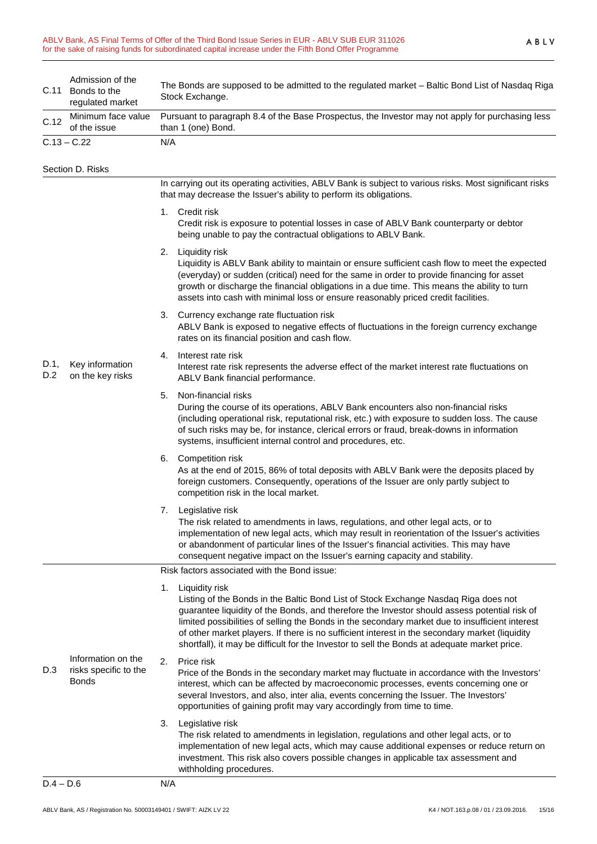| C.11               | Admission of the<br>Bonds to the<br>regulated market        | The Bonds are supposed to be admitted to the regulated market - Baltic Bond List of Nasdaq Riga<br>Stock Exchange.                                                                                                                                                                                                                                                                                                                                                                                               |  |  |
|--------------------|-------------------------------------------------------------|------------------------------------------------------------------------------------------------------------------------------------------------------------------------------------------------------------------------------------------------------------------------------------------------------------------------------------------------------------------------------------------------------------------------------------------------------------------------------------------------------------------|--|--|
| C.12               | Minimum face value<br>of the issue                          | Pursuant to paragraph 8.4 of the Base Prospectus, the Investor may not apply for purchasing less<br>than 1 (one) Bond.                                                                                                                                                                                                                                                                                                                                                                                           |  |  |
|                    | $C.13 - C.22$                                               | N/A                                                                                                                                                                                                                                                                                                                                                                                                                                                                                                              |  |  |
|                    | Section D. Risks                                            |                                                                                                                                                                                                                                                                                                                                                                                                                                                                                                                  |  |  |
|                    |                                                             | In carrying out its operating activities, ABLV Bank is subject to various risks. Most significant risks<br>that may decrease the Issuer's ability to perform its obligations.                                                                                                                                                                                                                                                                                                                                    |  |  |
|                    |                                                             | 1. Credit risk<br>Credit risk is exposure to potential losses in case of ABLV Bank counterparty or debtor<br>being unable to pay the contractual obligations to ABLV Bank.                                                                                                                                                                                                                                                                                                                                       |  |  |
|                    |                                                             | Liquidity risk<br>2.<br>Liquidity is ABLV Bank ability to maintain or ensure sufficient cash flow to meet the expected<br>(everyday) or sudden (critical) need for the same in order to provide financing for asset<br>growth or discharge the financial obligations in a due time. This means the ability to turn<br>assets into cash with minimal loss or ensure reasonably priced credit facilities.                                                                                                          |  |  |
|                    |                                                             | 3. Currency exchange rate fluctuation risk<br>ABLV Bank is exposed to negative effects of fluctuations in the foreign currency exchange<br>rates on its financial position and cash flow.                                                                                                                                                                                                                                                                                                                        |  |  |
| D.1,<br>D.2<br>D.3 | Key information<br>on the key risks                         | Interest rate risk<br>4.<br>Interest rate risk represents the adverse effect of the market interest rate fluctuations on<br>ABLV Bank financial performance.                                                                                                                                                                                                                                                                                                                                                     |  |  |
|                    |                                                             | Non-financial risks<br>5.<br>During the course of its operations, ABLV Bank encounters also non-financial risks<br>(including operational risk, reputational risk, etc.) with exposure to sudden loss. The cause<br>of such risks may be, for instance, clerical errors or fraud, break-downs in information<br>systems, insufficient internal control and procedures, etc.                                                                                                                                      |  |  |
|                    |                                                             | Competition risk<br>6.<br>As at the end of 2015, 86% of total deposits with ABLV Bank were the deposits placed by<br>foreign customers. Consequently, operations of the Issuer are only partly subject to<br>competition risk in the local market.                                                                                                                                                                                                                                                               |  |  |
|                    |                                                             | 7. Legislative risk<br>The risk related to amendments in laws, regulations, and other legal acts, or to<br>implementation of new legal acts, which may result in reorientation of the Issuer's activities<br>or abandonment of particular lines of the Issuer's financial activities. This may have<br>consequent negative impact on the Issuer's earning capacity and stability.                                                                                                                                |  |  |
|                    |                                                             | Risk factors associated with the Bond issue:                                                                                                                                                                                                                                                                                                                                                                                                                                                                     |  |  |
|                    |                                                             | Liquidity risk<br>1.<br>Listing of the Bonds in the Baltic Bond List of Stock Exchange Nasdaq Riga does not<br>guarantee liquidity of the Bonds, and therefore the Investor should assess potential risk of<br>limited possibilities of selling the Bonds in the secondary market due to insufficient interest<br>of other market players. If there is no sufficient interest in the secondary market (liquidity<br>shortfall), it may be difficult for the Investor to sell the Bonds at adequate market price. |  |  |
|                    | Information on the<br>risks specific to the<br><b>Bonds</b> | Price risk<br>2.<br>Price of the Bonds in the secondary market may fluctuate in accordance with the Investors'<br>interest, which can be affected by macroeconomic processes, events concerning one or<br>several Investors, and also, inter alia, events concerning the Issuer. The Investors'<br>opportunities of gaining profit may vary accordingly from time to time.                                                                                                                                       |  |  |
|                    |                                                             | 3.<br>Legislative risk<br>The risk related to amendments in legislation, regulations and other legal acts, or to<br>implementation of new legal acts, which may cause additional expenses or reduce return on<br>investment. This risk also covers possible changes in applicable tax assessment and<br>withholding procedures.                                                                                                                                                                                  |  |  |